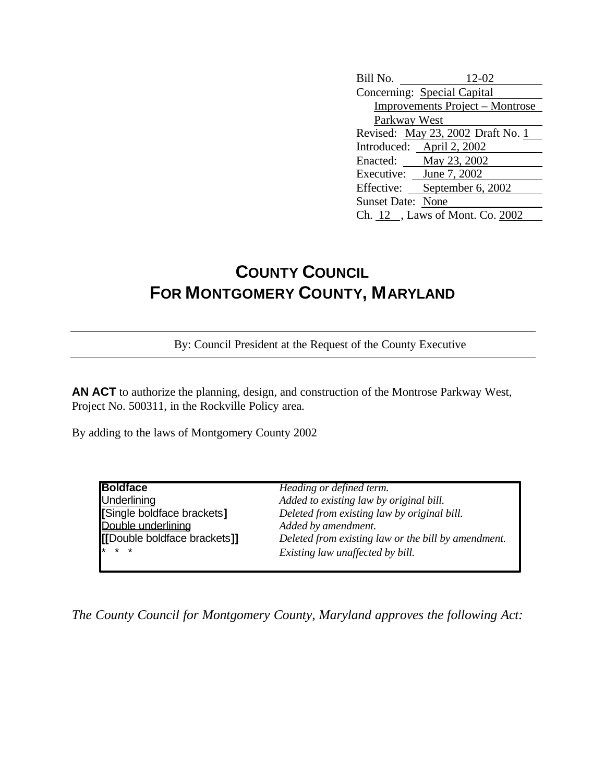| Bill No.                               | 12-02                     |  |  |
|----------------------------------------|---------------------------|--|--|
| Concerning: Special Capital            |                           |  |  |
| <b>Improvements Project – Montrose</b> |                           |  |  |
| Parkway West                           |                           |  |  |
| Revised: May 23, 2002 Draft No. 1      |                           |  |  |
|                                        | Introduced: April 2, 2002 |  |  |
|                                        | Enacted: May 23, 2002     |  |  |
| Executive: June 7, 2002                |                           |  |  |
| Effective:                             | September 6, 2002         |  |  |
| <b>Sunset Date: None</b>               |                           |  |  |
| Ch. 12, Laws of Mont. Co. 2002         |                           |  |  |

## **COUNTY COUNCIL FOR MONTGOMERY COUNTY, MARYLAND**

By: Council President at the Request of the County Executive

**AN ACT** to authorize the planning, design, and construction of the Montrose Parkway West, Project No. 500311, in the Rockville Policy area.

By adding to the laws of Montgomery County 2002

| <b>Boldface</b>              | Heading or defined term.                            |  |
|------------------------------|-----------------------------------------------------|--|
| <b>Underlining</b>           | Added to existing law by original bill.             |  |
| [Single boldface brackets]   | Deleted from existing law by original bill.         |  |
| Double underlining           | Added by amendment.                                 |  |
| [[Double boldface brackets]] | Deleted from existing law or the bill by amendment. |  |
| $* * * *$                    | Existing law unaffected by bill.                    |  |

*The County Council for Montgomery County, Maryland approves the following Act:*